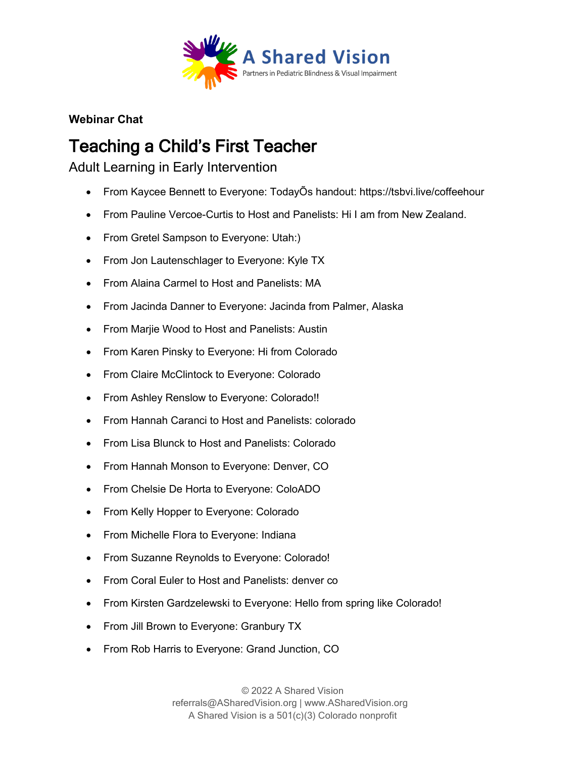

**Webinar Chat**

## Teaching a Child's First Teacher

Adult Learning in Early Intervention

- From Kaycee Bennett to Everyone: TodayÕs handout: https://tsbvi.live/coffeehour
- From Pauline Vercoe-Curtis to Host and Panelists: Hi I am from New Zealand.
- From Gretel Sampson to Everyone: Utah:)
- From Jon Lautenschlager to Everyone: Kyle TX
- From Alaina Carmel to Host and Panelists: MA
- From Jacinda Danner to Everyone: Jacinda from Palmer, Alaska
- From Marjie Wood to Host and Panelists: Austin
- From Karen Pinsky to Everyone: Hi from Colorado
- From Claire McClintock to Everyone: Colorado
- From Ashley Renslow to Everyone: Colorado!!
- From Hannah Caranci to Host and Panelists: colorado
- From Lisa Blunck to Host and Panelists: Colorado
- From Hannah Monson to Everyone: Denver, CO
- From Chelsie De Horta to Everyone: ColoADO
- From Kelly Hopper to Everyone: Colorado
- From Michelle Flora to Everyone: Indiana
- From Suzanne Reynolds to Everyone: Colorado!
- From Coral Euler to Host and Panelists: denver co
- From Kirsten Gardzelewski to Everyone: Hello from spring like Colorado!
- From Jill Brown to Everyone: Granbury TX
- From Rob Harris to Everyone: Grand Junction, CO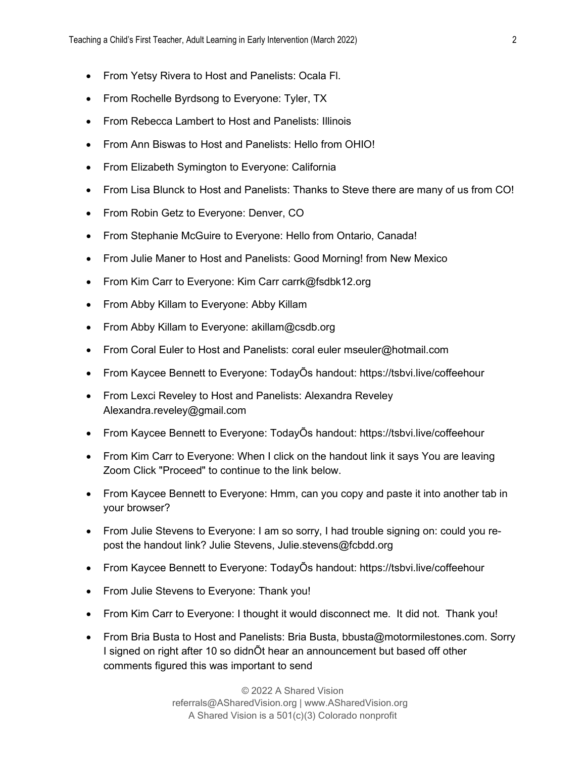- From Yetsy Rivera to Host and Panelists: Ocala Fl.
- From Rochelle Byrdsong to Everyone: Tyler, TX
- From Rebecca Lambert to Host and Panelists: Illinois
- From Ann Biswas to Host and Panelists: Hello from OHIO!
- From Elizabeth Symington to Everyone: California
- From Lisa Blunck to Host and Panelists: Thanks to Steve there are many of us from CO!
- From Robin Getz to Everyone: Denver, CO
- From Stephanie McGuire to Everyone: Hello from Ontario, Canada!
- From Julie Maner to Host and Panelists: Good Morning! from New Mexico
- From Kim Carr to Everyone: Kim Carr carrk@fsdbk12.org
- From Abby Killam to Everyone: Abby Killam
- From Abby Killam to Everyone: akillam@csdb.org
- From Coral Euler to Host and Panelists: coral euler mseuler@hotmail.com
- From Kaycee Bennett to Everyone: TodayÕs handout: https://tsbvi.live/coffeehour
- From Lexci Reveley to Host and Panelists: Alexandra Reveley Alexandra.reveley@gmail.com
- From Kaycee Bennett to Everyone: TodayÕs handout: https://tsbvi.live/coffeehour
- From Kim Carr to Everyone: When I click on the handout link it says You are leaving Zoom Click "Proceed" to continue to the link below.
- From Kaycee Bennett to Everyone: Hmm, can you copy and paste it into another tab in your browser?
- From Julie Stevens to Everyone: I am so sorry, I had trouble signing on: could you repost the handout link? Julie Stevens, Julie.stevens@fcbdd.org
- From Kaycee Bennett to Everyone: TodayÕs handout: https://tsbvi.live/coffeehour
- From Julie Stevens to Everyone: Thank you!
- From Kim Carr to Everyone: I thought it would disconnect me. It did not. Thank you!
- From Bria Busta to Host and Panelists: Bria Busta, bbusta@motormilestones.com. Sorry I signed on right after 10 so didnÕt hear an announcement but based off other comments figured this was important to send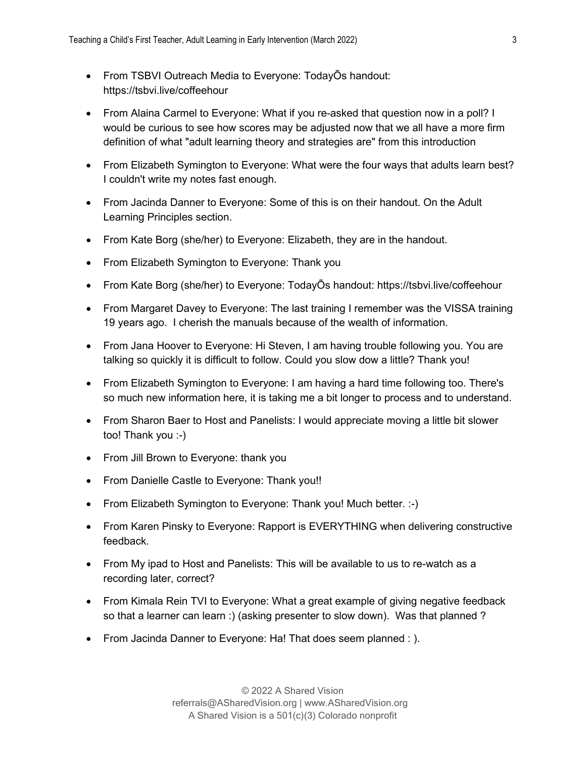- From TSBVI Outreach Media to Everyone: TodayÕs handout: https://tsbvi.live/coffeehour
- From Alaina Carmel to Everyone: What if you re-asked that question now in a poll? I would be curious to see how scores may be adjusted now that we all have a more firm definition of what "adult learning theory and strategies are" from this introduction
- From Elizabeth Symington to Everyone: What were the four ways that adults learn best? I couldn't write my notes fast enough.
- From Jacinda Danner to Everyone: Some of this is on their handout. On the Adult Learning Principles section.
- From Kate Borg (she/her) to Everyone: Elizabeth, they are in the handout.
- From Elizabeth Symington to Everyone: Thank you
- From Kate Borg (she/her) to Everyone: TodayÕs handout: https://tsbvi.live/coffeehour
- From Margaret Davey to Everyone: The last training I remember was the VISSA training 19 years ago. I cherish the manuals because of the wealth of information.
- From Jana Hoover to Everyone: Hi Steven, I am having trouble following you. You are talking so quickly it is difficult to follow. Could you slow dow a little? Thank you!
- From Elizabeth Symington to Everyone: I am having a hard time following too. There's so much new information here, it is taking me a bit longer to process and to understand.
- From Sharon Baer to Host and Panelists: I would appreciate moving a little bit slower too! Thank you :-)
- From Jill Brown to Everyone: thank you
- From Danielle Castle to Everyone: Thank you!!
- From Elizabeth Symington to Everyone: Thank you! Much better. :-)
- From Karen Pinsky to Everyone: Rapport is EVERYTHING when delivering constructive feedback.
- From My ipad to Host and Panelists: This will be available to us to re-watch as a recording later, correct?
- From Kimala Rein TVI to Everyone: What a great example of giving negative feedback so that a learner can learn :) (asking presenter to slow down). Was that planned ?
- From Jacinda Danner to Everyone: Ha! That does seem planned : ).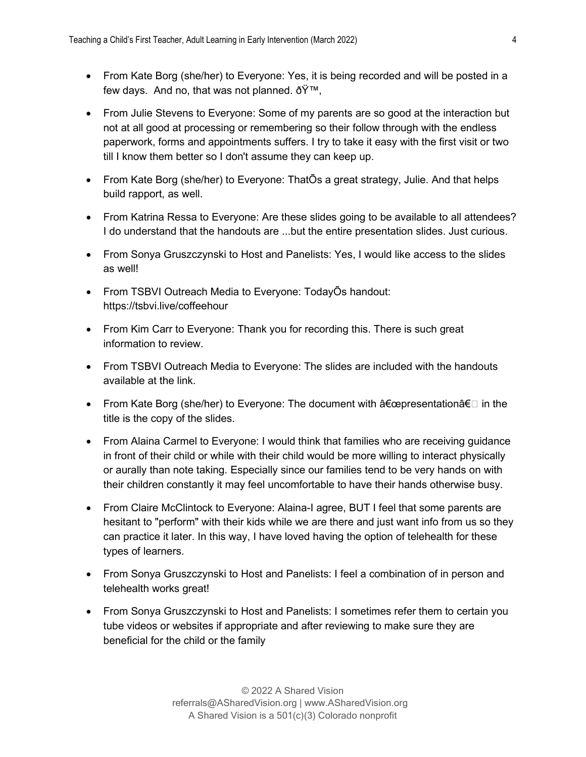- From Kate Borg (she/her) to Everyone: Yes, it is being recorded and will be posted in a few days. And no, that was not planned.  $\eth \ddot{\mathsf{Y}}^{\intercal \mathsf{M}}$ .
- From Julie Stevens to Everyone: Some of my parents are so good at the interaction but not at all good at processing or remembering so their follow through with the endless paperwork, forms and appointments suffers. I try to take it easy with the first visit or two till I know them better so I don't assume they can keep up.
- From Kate Borg (she/her) to Everyone: ThatÕs a great strategy, Julie. And that helps build rapport, as well.
- From Katrina Ressa to Everyone: Are these slides going to be available to all attendees? I do understand that the handouts are ...but the entire presentation slides. Just curious.
- From Sonya Gruszczynski to Host and Panelists: Yes, I would like access to the slides as well!
- From TSBVI Outreach Media to Everyone: TodayÕs handout: https://tsbvi.live/coffeehour
- From Kim Carr to Everyone: Thank you for recording this. There is such great information to review.
- From TSBVI Outreach Media to Everyone: The slides are included with the handouts available at the link.
- From Kate Borg (she/her) to Everyone: The document with  $\hat{a} \in \mathbb{C}$  presentationâ € in the title is the copy of the slides.
- From Alaina Carmel to Everyone: I would think that families who are receiving guidance in front of their child or while with their child would be more willing to interact physically or aurally than note taking. Especially since our families tend to be very hands on with their children constantly it may feel uncomfortable to have their hands otherwise busy.
- From Claire McClintock to Everyone: Alaina-I agree, BUT I feel that some parents are hesitant to "perform" with their kids while we are there and just want info from us so they can practice it later. In this way, I have loved having the option of telehealth for these types of learners.
- From Sonya Gruszczynski to Host and Panelists: I feel a combination of in person and telehealth works great!
- From Sonya Gruszczynski to Host and Panelists: I sometimes refer them to certain you tube videos or websites if appropriate and after reviewing to make sure they are beneficial for the child or the family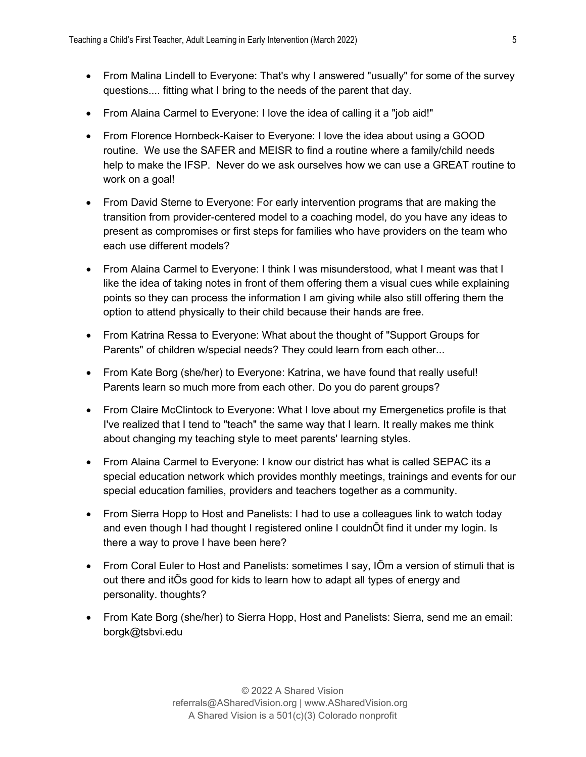- From Malina Lindell to Everyone: That's why I answered "usually" for some of the survey questions.... fitting what I bring to the needs of the parent that day.
- From Alaina Carmel to Everyone: I love the idea of calling it a "job aid!"
- From Florence Hornbeck-Kaiser to Everyone: I love the idea about using a GOOD routine. We use the SAFER and MEISR to find a routine where a family/child needs help to make the IFSP. Never do we ask ourselves how we can use a GREAT routine to work on a goal!
- From David Sterne to Everyone: For early intervention programs that are making the transition from provider-centered model to a coaching model, do you have any ideas to present as compromises or first steps for families who have providers on the team who each use different models?
- From Alaina Carmel to Everyone: I think I was misunderstood, what I meant was that I like the idea of taking notes in front of them offering them a visual cues while explaining points so they can process the information I am giving while also still offering them the option to attend physically to their child because their hands are free.
- From Katrina Ressa to Everyone: What about the thought of "Support Groups for Parents" of children w/special needs? They could learn from each other...
- From Kate Borg (she/her) to Everyone: Katrina, we have found that really useful! Parents learn so much more from each other. Do you do parent groups?
- From Claire McClintock to Everyone: What I love about my Emergenetics profile is that I've realized that I tend to "teach" the same way that I learn. It really makes me think about changing my teaching style to meet parents' learning styles.
- From Alaina Carmel to Everyone: I know our district has what is called SEPAC its a special education network which provides monthly meetings, trainings and events for our special education families, providers and teachers together as a community.
- From Sierra Hopp to Host and Panelists: I had to use a colleagues link to watch today and even though I had thought I registered online I couldnÕt find it under my login. Is there a way to prove I have been here?
- From Coral Euler to Host and Panelists: sometimes I say, IÕm a version of stimuli that is out there and itÕs good for kids to learn how to adapt all types of energy and personality. thoughts?
- From Kate Borg (she/her) to Sierra Hopp, Host and Panelists: Sierra, send me an email: borgk@tsbvi.edu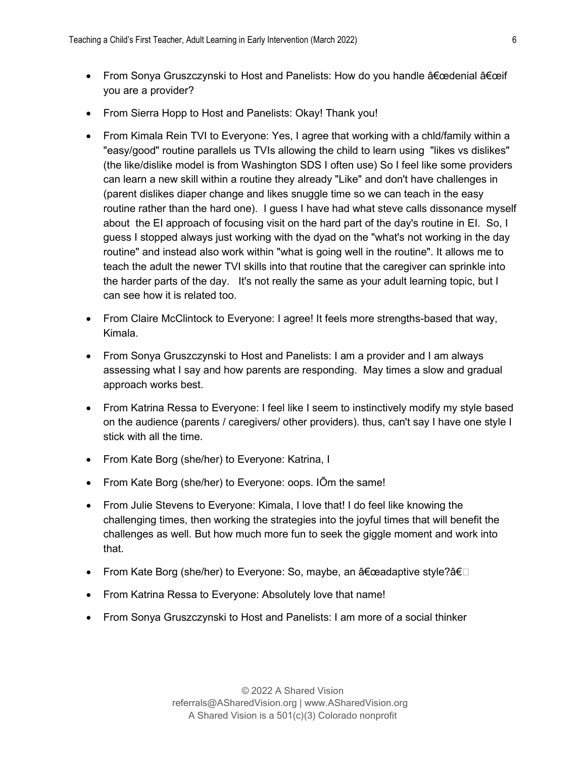- From Sonya Gruszczynski to Host and Panelists: How do you handle  $\hat{a} \in \hat{a}$ edenial  $\hat{a} \in \hat{a}$ you are a provider?
- From Sierra Hopp to Host and Panelists: Okay! Thank you!
- From Kimala Rein TVI to Everyone: Yes, I agree that working with a chid/family within a "easy/good" routine parallels us TVIs allowing the child to learn using "likes vs dislikes" (the like/dislike model is from Washington SDS I often use) So I feel like some providers can learn a new skill within a routine they already "Like" and don't have challenges in (parent dislikes diaper change and likes snuggle time so we can teach in the easy routine rather than the hard one). I guess I have had what steve calls dissonance myself about the EI approach of focusing visit on the hard part of the day's routine in EI. So, I guess I stopped always just working with the dyad on the "what's not working in the day routine" and instead also work within "what is going well in the routine". It allows me to teach the adult the newer TVI skills into that routine that the caregiver can sprinkle into the harder parts of the day. It's not really the same as your adult learning topic, but I can see how it is related too.
- From Claire McClintock to Everyone: I agree! It feels more strengths-based that way, Kimala.
- From Sonya Gruszczynski to Host and Panelists: I am a provider and I am always assessing what I say and how parents are responding. May times a slow and gradual approach works best.
- From Katrina Ressa to Everyone: I feel like I seem to instinctively modify my style based on the audience (parents / caregivers/ other providers). thus, can't say I have one style I stick with all the time.
- From Kate Borg (she/her) to Everyone: Katrina, I
- From Kate Borg (she/her) to Everyone: oops. IÕm the same!
- From Julie Stevens to Everyone: Kimala, I love that! I do feel like knowing the challenging times, then working the strategies into the joyful times that will benefit the challenges as well. But how much more fun to seek the giggle moment and work into that.
- $\bullet$  From Kate Borg (she/her) to Everyone: So, maybe, an "adaptive style?â€⊡
- From Katrina Ressa to Everyone: Absolutely love that name!
- From Sonya Gruszczynski to Host and Panelists: I am more of a social thinker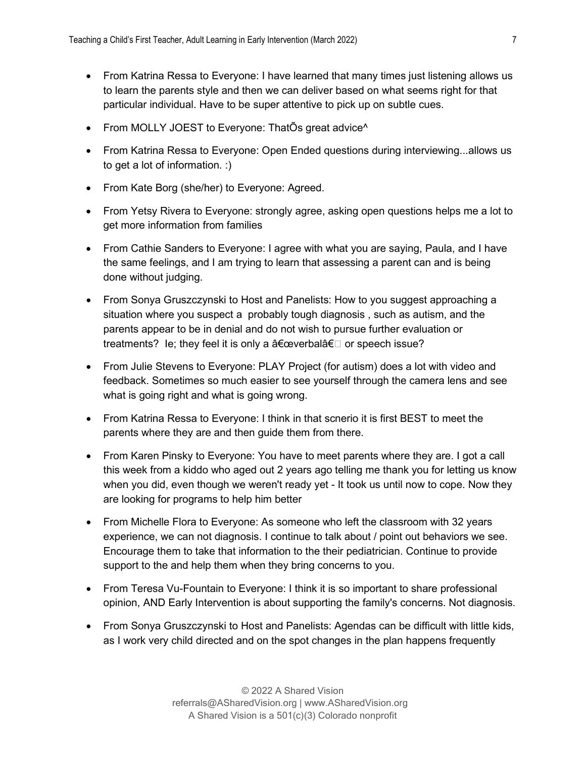- From Katrina Ressa to Everyone: I have learned that many times just listening allows us to learn the parents style and then we can deliver based on what seems right for that particular individual. Have to be super attentive to pick up on subtle cues.
- From MOLLY JOEST to Everyone: ThatÕs great advice<sup>^</sup>
- From Katrina Ressa to Everyone: Open Ended questions during interviewing...allows us to get a lot of information. :)
- From Kate Borg (she/her) to Everyone: Agreed.
- From Yetsy Rivera to Everyone: strongly agree, asking open questions helps me a lot to get more information from families
- From Cathie Sanders to Everyone: I agree with what you are saying, Paula, and I have the same feelings, and I am trying to learn that assessing a parent can and is being done without judging.
- From Sonya Gruszczynski to Host and Panelists: How to you suggest approaching a situation where you suspect a probably tough diagnosis , such as autism, and the parents appear to be in denial and do not wish to pursue further evaluation or treatments? Ie; they feel it is only a  $a \in \mathbb{C}$  or speech issue?
- From Julie Stevens to Everyone: PLAY Project (for autism) does a lot with video and feedback. Sometimes so much easier to see yourself through the camera lens and see what is going right and what is going wrong.
- From Katrina Ressa to Everyone: I think in that scnerio it is first BEST to meet the parents where they are and then guide them from there.
- From Karen Pinsky to Everyone: You have to meet parents where they are. I got a call this week from a kiddo who aged out 2 years ago telling me thank you for letting us know when you did, even though we weren't ready yet - It took us until now to cope. Now they are looking for programs to help him better
- From Michelle Flora to Everyone: As someone who left the classroom with 32 years experience, we can not diagnosis. I continue to talk about / point out behaviors we see. Encourage them to take that information to the their pediatrician. Continue to provide support to the and help them when they bring concerns to you.
- From Teresa Vu-Fountain to Everyone: I think it is so important to share professional opinion, AND Early Intervention is about supporting the family's concerns. Not diagnosis.
- From Sonya Gruszczynski to Host and Panelists: Agendas can be difficult with little kids, as I work very child directed and on the spot changes in the plan happens frequently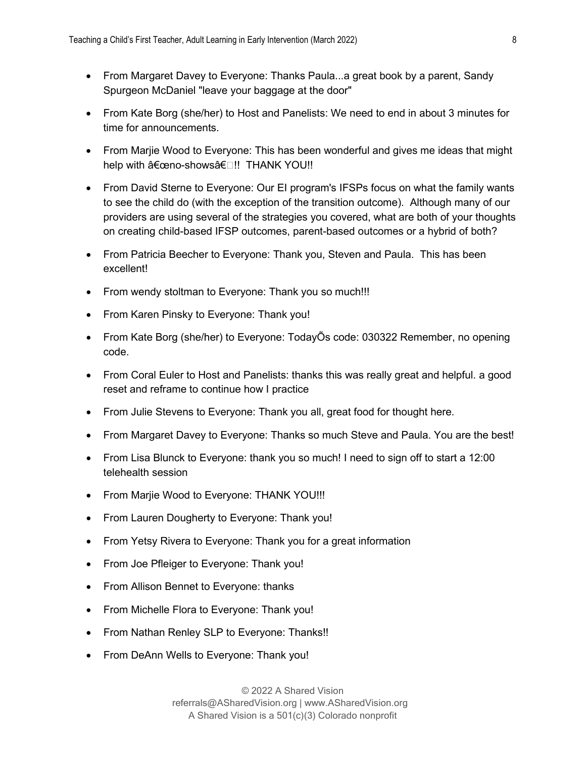- From Margaret Davey to Everyone: Thanks Paula...a great book by a parent, Sandy Spurgeon McDaniel "leave your baggage at the door"
- From Kate Borg (she/her) to Host and Panelists: We need to end in about 3 minutes for time for announcements.
- From Marjie Wood to Everyone: This has been wonderful and gives me ideas that might help with "no-showsâ€□!! THANK YOU!!
- From David Sterne to Everyone: Our EI program's IFSPs focus on what the family wants to see the child do (with the exception of the transition outcome). Although many of our providers are using several of the strategies you covered, what are both of your thoughts on creating child-based IFSP outcomes, parent-based outcomes or a hybrid of both?
- From Patricia Beecher to Everyone: Thank you, Steven and Paula. This has been excellent!
- From wendy stoltman to Everyone: Thank you so much!!!
- From Karen Pinsky to Everyone: Thank you!
- From Kate Borg (she/her) to Everyone: TodayÕs code: 030322 Remember, no opening code.
- From Coral Euler to Host and Panelists: thanks this was really great and helpful. a good reset and reframe to continue how I practice
- From Julie Stevens to Everyone: Thank you all, great food for thought here.
- From Margaret Davey to Everyone: Thanks so much Steve and Paula. You are the best!
- From Lisa Blunck to Everyone: thank you so much! I need to sign off to start a 12:00 telehealth session
- From Marjie Wood to Everyone: THANK YOU!!!
- From Lauren Dougherty to Everyone: Thank you!
- From Yetsy Rivera to Everyone: Thank you for a great information
- From Joe Pfleiger to Everyone: Thank you!
- From Allison Bennet to Everyone: thanks
- From Michelle Flora to Everyone: Thank you!
- From Nathan Renley SLP to Everyone: Thanks!!
- From DeAnn Wells to Everyone: Thank you!